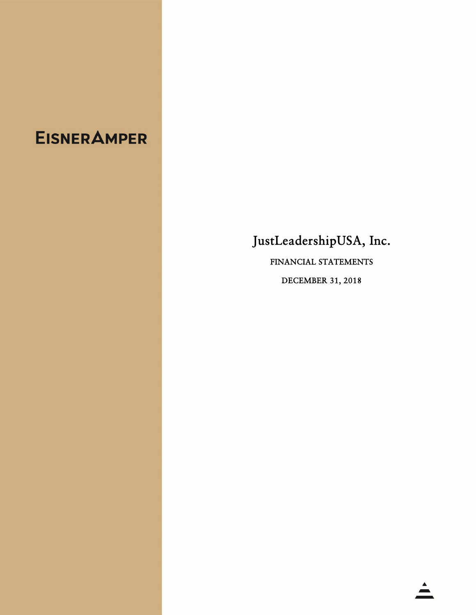# **EISNERAMPER**

## JustLeadershipUSA, Inc.

FINANCIAL STATEMENTS

DECEMBER 31, 2018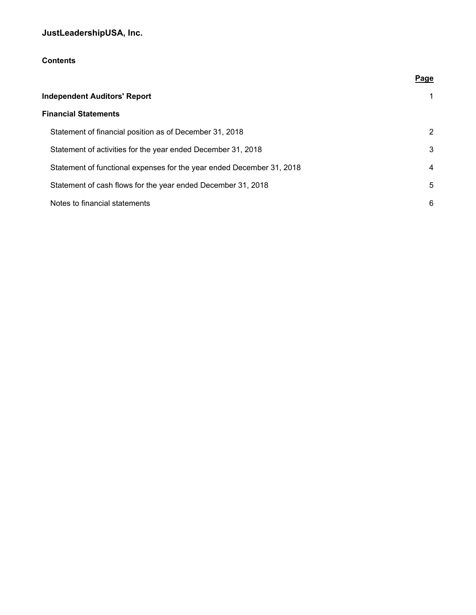## **Contents**

|                                                                       | Page        |
|-----------------------------------------------------------------------|-------------|
| <b>Independent Auditors' Report</b>                                   | $\mathbf 1$ |
| <b>Financial Statements</b>                                           |             |
| Statement of financial position as of December 31, 2018               | 2           |
| Statement of activities for the year ended December 31, 2018          | 3           |
| Statement of functional expenses for the year ended December 31, 2018 | 4           |
| Statement of cash flows for the year ended December 31, 2018          | 5           |
| Notes to financial statements                                         | 6           |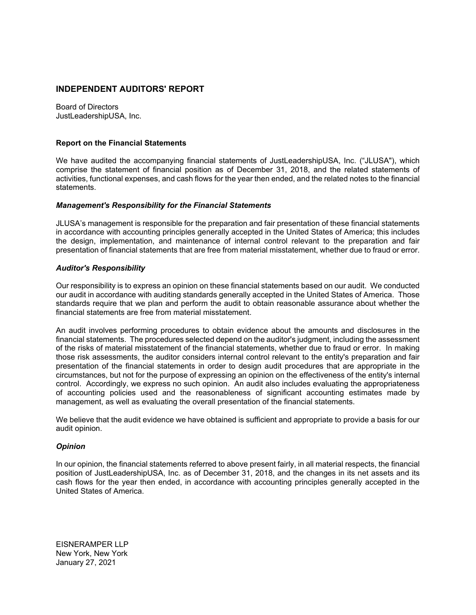#### **INDEPENDENT AUDITORS' REPORT**

Board of Directors JustLeadershipUSA, Inc.

#### **Report on the Financial Statements**

We have audited the accompanying financial statements of JustLeadershipUSA, Inc. ("JLUSA"), which comprise the statement of financial position as of December 31, 2018, and the related statements of activities, functional expenses, and cash flows for the year then ended, and the related notes to the financial statements.

#### *Management's Responsibility for the Financial Statements*

JLUSA's management is responsible for the preparation and fair presentation of these financial statements in accordance with accounting principles generally accepted in the United States of America; this includes the design, implementation, and maintenance of internal control relevant to the preparation and fair presentation of financial statements that are free from material misstatement, whether due to fraud or error.

#### *Auditor's Responsibility*

Our responsibility is to express an opinion on these financial statements based on our audit. We conducted our audit in accordance with auditing standards generally accepted in the United States of America. Those standards require that we plan and perform the audit to obtain reasonable assurance about whether the financial statements are free from material misstatement.

An audit involves performing procedures to obtain evidence about the amounts and disclosures in the financial statements. The procedures selected depend on the auditor's judgment, including the assessment of the risks of material misstatement of the financial statements, whether due to fraud or error. In making those risk assessments, the auditor considers internal control relevant to the entity's preparation and fair presentation of the financial statements in order to design audit procedures that are appropriate in the circumstances, but not for the purpose of expressing an opinion on the effectiveness of the entity's internal control. Accordingly, we express no such opinion. An audit also includes evaluating the appropriateness of accounting policies used and the reasonableness of significant accounting estimates made by management, as well as evaluating the overall presentation of the financial statements.

We believe that the audit evidence we have obtained is sufficient and appropriate to provide a basis for our audit opinion.

#### *Opinion*

In our opinion, the financial statements referred to above present fairly, in all material respects, the financial position of JustLeadershipUSA, Inc. as of December 31, 2018, and the changes in its net assets and its cash flows for the year then ended, in accordance with accounting principles generally accepted in the United States of America.

EISNERAMPER LLP New York, New York January 27, 2021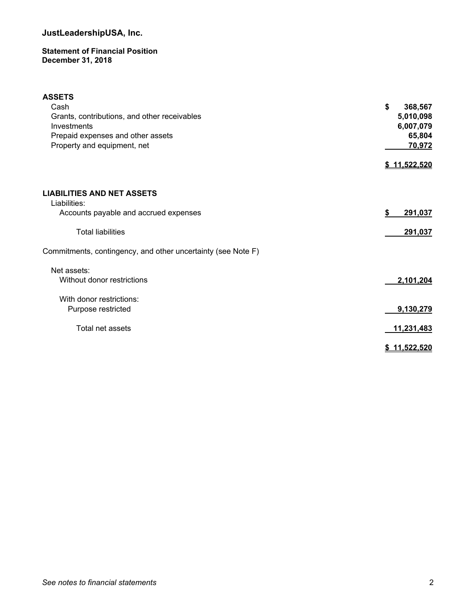#### **Statement of Financial Position December 31, 2018**

| <b>ASSETS</b>                                                |                   |
|--------------------------------------------------------------|-------------------|
| Cash                                                         | \$<br>368,567     |
| Grants, contributions, and other receivables                 | 5,010,098         |
| Investments                                                  | 6,007,079         |
| Prepaid expenses and other assets                            | 65,804            |
| Property and equipment, net                                  | 70,972            |
|                                                              |                   |
|                                                              | \$11,522,520      |
|                                                              |                   |
| <b>LIABILITIES AND NET ASSETS</b><br>Liabilities:            |                   |
| Accounts payable and accrued expenses                        | \$<br>291,037     |
| <b>Total liabilities</b>                                     | 291,037           |
| Commitments, contingency, and other uncertainty (see Note F) |                   |
| Net assets:                                                  |                   |
| Without donor restrictions                                   | 2,101,204         |
|                                                              |                   |
| With donor restrictions:                                     |                   |
| Purpose restricted                                           | 9,130,279         |
|                                                              |                   |
| Total net assets                                             | 11,231,483        |
|                                                              | <u>11.522.520</u> |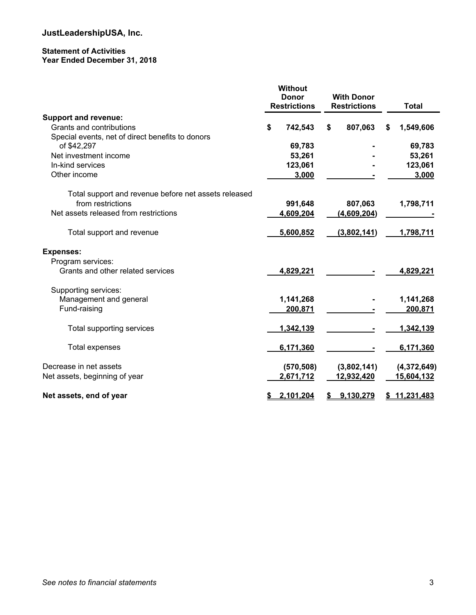#### **Statement of Activities Year Ended December 31, 2018**

|                                                      | <b>Without</b><br><b>Donor</b><br><b>Restrictions</b> | <b>With Donor</b><br><b>Restrictions</b> |    | Total       |
|------------------------------------------------------|-------------------------------------------------------|------------------------------------------|----|-------------|
| <b>Support and revenue:</b>                          |                                                       |                                          |    |             |
| Grants and contributions                             | \$<br>742,543                                         | \$<br>807,063                            | \$ | 1,549,606   |
| Special events, net of direct benefits to donors     |                                                       |                                          |    |             |
| of \$42,297                                          | 69,783                                                |                                          |    | 69,783      |
| Net investment income                                | 53,261                                                |                                          |    | 53,261      |
| In-kind services                                     | 123,061                                               |                                          |    | 123,061     |
| Other income                                         | 3,000                                                 |                                          |    | 3,000       |
| Total support and revenue before net assets released |                                                       |                                          |    |             |
| from restrictions                                    | 991,648                                               | 807,063                                  |    | 1,798,711   |
| Net assets released from restrictions                | 4,609,204                                             | (4,609,204)                              |    |             |
| Total support and revenue                            | 5,600,852                                             | (3,802,141)                              |    | 1,798,711   |
| <b>Expenses:</b>                                     |                                                       |                                          |    |             |
| Program services:                                    |                                                       |                                          |    |             |
| Grants and other related services                    | 4,829,221                                             |                                          |    | 4,829,221   |
| Supporting services:                                 |                                                       |                                          |    |             |
| Management and general                               | 1,141,268                                             |                                          |    | 1,141,268   |
| Fund-raising                                         | 200,871                                               |                                          |    | 200,871     |
| Total supporting services                            | 1,342,139                                             |                                          |    | 1,342,139   |
| <b>Total expenses</b>                                | 6,171,360                                             |                                          |    | 6,171,360   |
| Decrease in net assets                               | (570, 508)                                            | (3,802,141)                              |    | (4,372,649) |
| Net assets, beginning of year                        | 2,671,712                                             | 12,932,420                               |    | 15,604,132  |
| Net assets, end of year                              | 2.101.204                                             | 9.130.279                                | S. | 11,231,483  |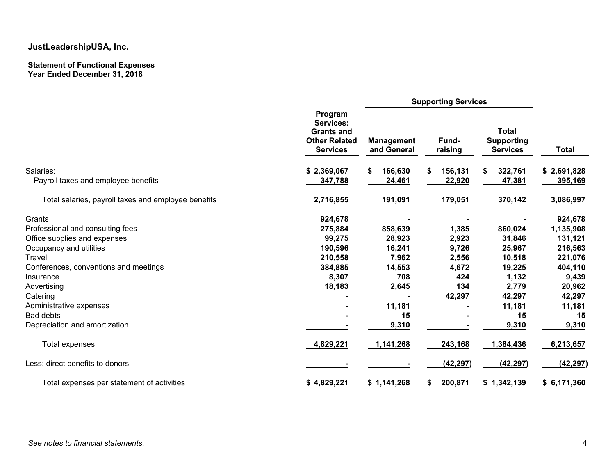#### **Statement of Functional Expenses Year Ended December 31, 2018**

|                                                     | <b>Supporting Services</b>                                                                  |                                  |                  |                                                      |              |
|-----------------------------------------------------|---------------------------------------------------------------------------------------------|----------------------------------|------------------|------------------------------------------------------|--------------|
|                                                     | Program<br><b>Services:</b><br><b>Grants and</b><br><b>Other Related</b><br><b>Services</b> | <b>Management</b><br>and General | Fund-<br>raising | <b>Total</b><br><b>Supporting</b><br><b>Services</b> | <b>Total</b> |
| Salaries:                                           | \$2,369,067                                                                                 | 166,630<br>\$                    | \$<br>156,131    | 322,761<br>S.                                        | \$2,691,828  |
| Payroll taxes and employee benefits                 | 347,788                                                                                     | 24,461                           | 22,920           | 47,381                                               | 395,169      |
| Total salaries, payroll taxes and employee benefits | 2,716,855                                                                                   | 191,091                          | 179,051          | 370,142                                              | 3,086,997    |
| Grants                                              | 924,678                                                                                     |                                  |                  |                                                      | 924,678      |
| Professional and consulting fees                    | 275,884                                                                                     | 858,639                          | 1,385            | 860,024                                              | 1,135,908    |
| Office supplies and expenses                        | 99,275                                                                                      | 28,923                           | 2,923            | 31,846                                               | 131,121      |
| Occupancy and utilities                             | 190,596                                                                                     | 16,241                           | 9,726            | 25,967                                               | 216,563      |
| <b>Travel</b>                                       | 210,558                                                                                     | 7,962                            | 2,556            | 10,518                                               | 221,076      |
| Conferences, conventions and meetings               | 384,885                                                                                     | 14,553                           | 4,672            | 19,225                                               | 404,110      |
| Insurance                                           | 8,307                                                                                       | 708                              | 424              | 1,132                                                | 9,439        |
| Advertising                                         | 18,183                                                                                      | 2,645                            | 134              | 2,779                                                | 20,962       |
| Catering                                            |                                                                                             |                                  | 42,297           | 42,297                                               | 42,297       |
| Administrative expenses                             |                                                                                             | 11,181                           |                  | 11,181                                               | 11,181       |
| <b>Bad debts</b>                                    |                                                                                             | 15                               |                  | 15                                                   | 15           |
| Depreciation and amortization                       |                                                                                             | 9,310                            |                  | 9,310                                                | 9,310        |
| Total expenses                                      | 4,829,221                                                                                   | 1,141,268                        | 243,168          | 1,384,436                                            | 6,213,657    |
| Less: direct benefits to donors                     |                                                                                             |                                  | (42, 297)        | (42, 297)                                            | (42, 297)    |
| Total expenses per statement of activities          | \$4,829,221                                                                                 | \$1,141,268                      | 200,871          | \$1,342,139                                          | \$6,171,360  |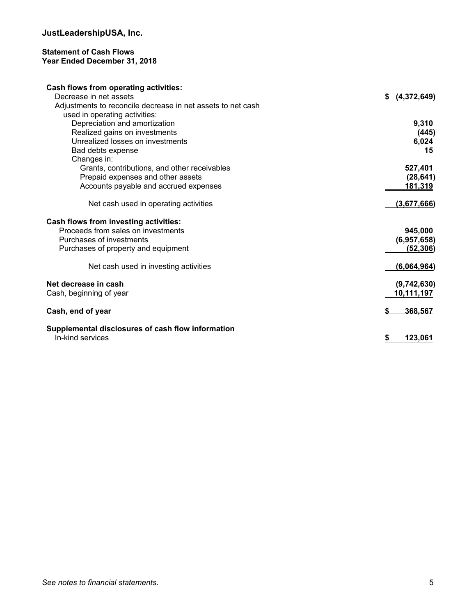#### **Statement of Cash Flows Year Ended December 31, 2018**

| <b>Cash flows from operating activities:</b>                |                |
|-------------------------------------------------------------|----------------|
| Decrease in net assets                                      | \$ (4,372,649) |
| Adjustments to reconcile decrease in net assets to net cash |                |
| used in operating activities:                               |                |
| Depreciation and amortization                               | 9,310          |
| Realized gains on investments                               | (445)          |
| Unrealized losses on investments                            | 6,024          |
| Bad debts expense                                           | 15             |
| Changes in:                                                 |                |
| Grants, contributions, and other receivables                | 527,401        |
| Prepaid expenses and other assets                           | (28, 641)      |
| Accounts payable and accrued expenses                       | 181,319        |
|                                                             |                |
| Net cash used in operating activities                       | (3,677,666)    |
|                                                             |                |
| Cash flows from investing activities:                       |                |
| Proceeds from sales on investments                          | 945,000        |
| Purchases of investments                                    | (6,957,658)    |
| Purchases of property and equipment                         | (52, 306)      |
|                                                             |                |
| Net cash used in investing activities                       | (6,064,964)    |
|                                                             |                |
| Net decrease in cash                                        | (9,742,630)    |
| Cash, beginning of year                                     | 10,111,197     |
|                                                             |                |
| Cash, end of year                                           | 368,567        |
|                                                             |                |
| Supplemental disclosures of cash flow information           |                |
| In-kind services                                            | <u>123.061</u> |
|                                                             |                |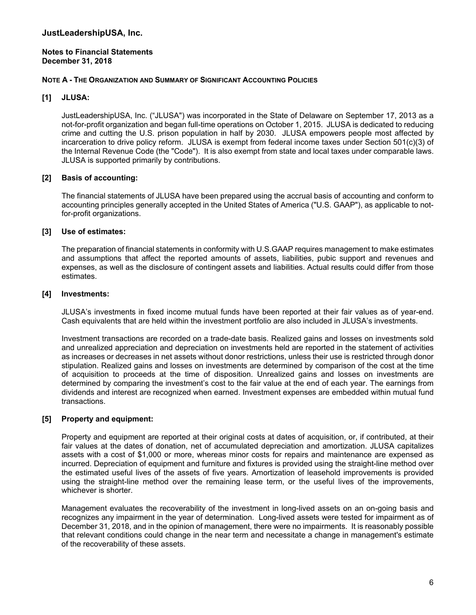#### **Notes to Financial Statements December 31, 2018**

#### **NOTE A - THE ORGANIZATION AND SUMMARY OF SIGNIFICANT ACCOUNTING POLICIES**

#### **[1] JLUSA:**

JustLeadershipUSA, Inc. ("JLUSA") was incorporated in the State of Delaware on September 17, 2013 as a not-for-profit organization and began full-time operations on October 1, 2015. JLUSA is dedicated to reducing crime and cutting the U.S. prison population in half by 2030. JLUSA empowers people most affected by incarceration to drive policy reform. JLUSA is exempt from federal income taxes under Section 501(c)(3) of the Internal Revenue Code (the "Code"). It is also exempt from state and local taxes under comparable laws. JLUSA is supported primarily by contributions.

#### **[2] Basis of accounting:**

The financial statements of JLUSA have been prepared using the accrual basis of accounting and conform to accounting principles generally accepted in the United States of America ("U.S. GAAP"), as applicable to notfor-profit organizations.

#### **[3] Use of estimates:**

The preparation of financial statements in conformity with U.S.GAAP requires management to make estimates and assumptions that affect the reported amounts of assets, liabilities, pubic support and revenues and expenses, as well as the disclosure of contingent assets and liabilities. Actual results could differ from those estimates.

#### **[4] Investments:**

JLUSA's investments in fixed income mutual funds have been reported at their fair values as of year-end. Cash equivalents that are held within the investment portfolio are also included in JLUSA's investments.

Investment transactions are recorded on a trade-date basis. Realized gains and losses on investments sold and unrealized appreciation and depreciation on investments held are reported in the statement of activities as increases or decreases in net assets without donor restrictions, unless their use is restricted through donor stipulation. Realized gains and losses on investments are determined by comparison of the cost at the time of acquisition to proceeds at the time of disposition. Unrealized gains and losses on investments are determined by comparing the investment's cost to the fair value at the end of each year. The earnings from dividends and interest are recognized when earned. Investment expenses are embedded within mutual fund transactions.

#### **[5] Property and equipment:**

Property and equipment are reported at their original costs at dates of acquisition, or, if contributed, at their fair values at the dates of donation, net of accumulated depreciation and amortization. JLUSA capitalizes assets with a cost of \$1,000 or more, whereas minor costs for repairs and maintenance are expensed as incurred. Depreciation of equipment and furniture and fixtures is provided using the straight-line method over the estimated useful lives of the assets of five years. Amortization of leasehold improvements is provided using the straight-line method over the remaining lease term, or the useful lives of the improvements, whichever is shorter.

Management evaluates the recoverability of the investment in long-lived assets on an on-going basis and recognizes any impairment in the year of determination. Long-lived assets were tested for impairment as of December 31, 2018, and in the opinion of management, there were no impairments. It is reasonably possible that relevant conditions could change in the near term and necessitate a change in management's estimate of the recoverability of these assets.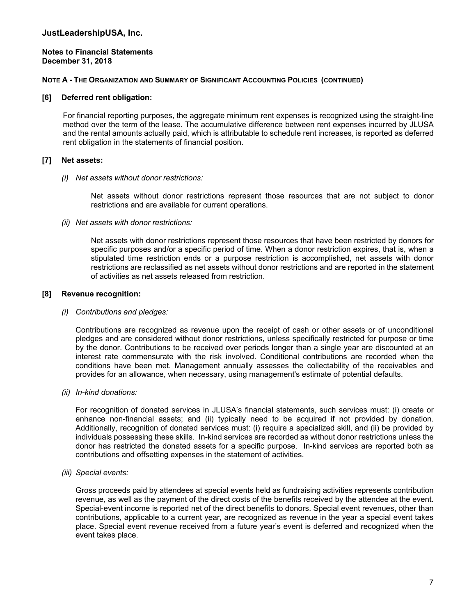#### **Notes to Financial Statements December 31, 2018**

#### **NOTE A - THE ORGANIZATION AND SUMMARY OF SIGNIFICANT ACCOUNTING POLICIES (CONTINUED)**

#### **[6] Deferred rent obligation:**

For financial reporting purposes, the aggregate minimum rent expenses is recognized using the straight-line method over the term of the lease. The accumulative difference between rent expenses incurred by JLUSA and the rental amounts actually paid, which is attributable to schedule rent increases, is reported as deferred rent obligation in the statements of financial position.

#### **[7] Net assets:**

#### *(i) Net assets without donor restrictions:*

Net assets without donor restrictions represent those resources that are not subject to donor restrictions and are available for current operations.

#### *(ii) Net assets with donor restrictions:*

Net assets with donor restrictions represent those resources that have been restricted by donors for specific purposes and/or a specific period of time. When a donor restriction expires, that is, when a stipulated time restriction ends or a purpose restriction is accomplished, net assets with donor restrictions are reclassified as net assets without donor restrictions and are reported in the statement of activities as net assets released from restriction.

#### **[8] Revenue recognition:**

#### *(i) Contributions and pledges:*

Contributions are recognized as revenue upon the receipt of cash or other assets or of unconditional pledges and are considered without donor restrictions, unless specifically restricted for purpose or time by the donor. Contributions to be received over periods longer than a single year are discounted at an interest rate commensurate with the risk involved. Conditional contributions are recorded when the conditions have been met. Management annually assesses the collectability of the receivables and provides for an allowance, when necessary, using management's estimate of potential defaults.

#### *(ii) In-kind donations:*

For recognition of donated services in JLUSA's financial statements, such services must: (i) create or enhance non-financial assets; and (ii) typically need to be acquired if not provided by donation. Additionally, recognition of donated services must: (i) require a specialized skill, and (ii) be provided by individuals possessing these skills. In-kind services are recorded as without donor restrictions unless the donor has restricted the donated assets for a specific purpose. In-kind services are reported both as contributions and offsetting expenses in the statement of activities.

#### *(iii) Special events:*

Gross proceeds paid by attendees at special events held as fundraising activities represents contribution revenue, as well as the payment of the direct costs of the benefits received by the attendee at the event. Special-event income is reported net of the direct benefits to donors. Special event revenues, other than contributions, applicable to a current year, are recognized as revenue in the year a special event takes place. Special event revenue received from a future year's event is deferred and recognized when the event takes place.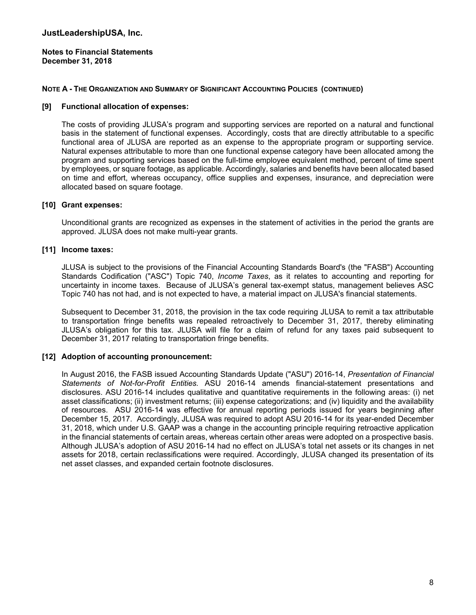#### **Notes to Financial Statements December 31, 2018**

#### **NOTE A - THE ORGANIZATION AND SUMMARY OF SIGNIFICANT ACCOUNTING POLICIES (CONTINUED)**

#### **[9] Functional allocation of expenses:**

The costs of providing JLUSA's program and supporting services are reported on a natural and functional basis in the statement of functional expenses. Accordingly, costs that are directly attributable to a specific functional area of JLUSA are reported as an expense to the appropriate program or supporting service. Natural expenses attributable to more than one functional expense category have been allocated among the program and supporting services based on the full-time employee equivalent method, percent of time spent by employees, or square footage, as applicable. Accordingly, salaries and benefits have been allocated based on time and effort, whereas occupancy, office supplies and expenses, insurance, and depreciation were allocated based on square footage.

#### **[10] Grant expenses:**

Unconditional grants are recognized as expenses in the statement of activities in the period the grants are approved. JLUSA does not make multi-year grants.

#### **[11] Income taxes:**

JLUSA is subject to the provisions of the Financial Accounting Standards Board's (the "FASB") Accounting Standards Codification ("ASC") Topic 740, *Income Taxes*, as it relates to accounting and reporting for uncertainty in income taxes. Because of JLUSA's general tax-exempt status, management believes ASC Topic 740 has not had, and is not expected to have, a material impact on JLUSA's financial statements.

Subsequent to December 31, 2018, the provision in the tax code requiring JLUSA to remit a tax attributable to transportation fringe benefits was repealed retroactively to December 31, 2017, thereby eliminating JLUSA's obligation for this tax. JLUSA will file for a claim of refund for any taxes paid subsequent to December 31, 2017 relating to transportation fringe benefits.

#### **[12] Adoption of accounting pronouncement:**

In August 2016, the FASB issued Accounting Standards Update ("ASU") 2016-14, *Presentation of Financial Statements of Not-for-Profit Entities.* ASU 2016-14 amends financial-statement presentations and disclosures. ASU 2016-14 includes qualitative and quantitative requirements in the following areas: (i) net asset classifications; (ii) investment returns; (iii) expense categorizations; and (iv) liquidity and the availability of resources. ASU 2016-14 was effective for annual reporting periods issued for years beginning after December 15, 2017. Accordingly, JLUSA was required to adopt ASU 2016-14 for its year-ended December 31, 2018, which under U.S. GAAP was a change in the accounting principle requiring retroactive application in the financial statements of certain areas, whereas certain other areas were adopted on a prospective basis. Although JLUSA's adoption of ASU 2016-14 had no effect on JLUSA's total net assets or its changes in net assets for 2018, certain reclassifications were required. Accordingly, JLUSA changed its presentation of its net asset classes, and expanded certain footnote disclosures.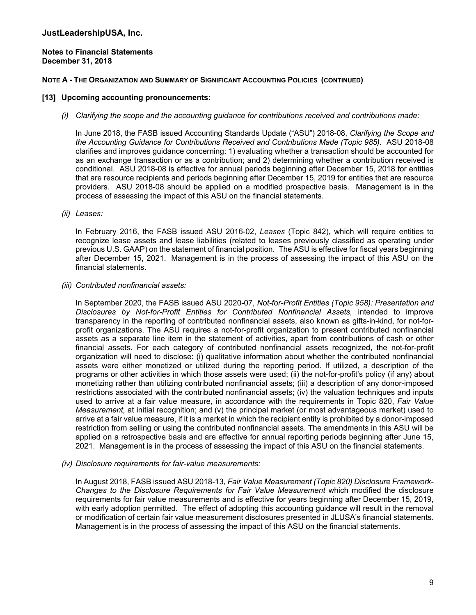#### **Notes to Financial Statements December 31, 2018**

#### **NOTE A - THE ORGANIZATION AND SUMMARY OF SIGNIFICANT ACCOUNTING POLICIES (CONTINUED)**

#### **[13] Upcoming accounting pronouncements:**

*(i) Clarifying the scope and the accounting guidance for contributions received and contributions made:* 

In June 2018, the FASB issued Accounting Standards Update ("ASU") 2018-08, *Clarifying the Scope and the Accounting Guidance for Contributions Received and Contributions Made (Topic 985)*. ASU 2018-08 clarifies and improves guidance concerning: 1) evaluating whether a transaction should be accounted for as an exchange transaction or as a contribution; and 2) determining whether a contribution received is conditional. ASU 2018-08 is effective for annual periods beginning after December 15, 2018 for entities that are resource recipients and periods beginning after December 15, 2019 for entities that are resource providers. ASU 2018-08 should be applied on a modified prospective basis. Management is in the process of assessing the impact of this ASU on the financial statements.

*(ii) Leases:* 

In February 2016, the FASB issued ASU 2016-02, *Leases* (Topic 842), which will require entities to recognize lease assets and lease liabilities (related to leases previously classified as operating under previous U.S. GAAP) on the statement of financial position. The ASU is effective for fiscal years beginning after December 15, 2021. Management is in the process of assessing the impact of this ASU on the financial statements.

*(iii) Contributed nonfinancial assets:* 

In September 2020, the FASB issued ASU 2020-07, *Not-for-Profit Entities (Topic 958): Presentation and Disclosures by Not-for-Profit Entities for Contributed Nonfinancial Assets,* intended to improve transparency in the reporting of contributed nonfinancial assets, also known as gifts-in-kind, for not-forprofit organizations. The ASU requires a not-for-profit organization to present contributed nonfinancial assets as a separate line item in the statement of activities, apart from contributions of cash or other financial assets. For each category of contributed nonfinancial assets recognized, the not-for-profit organization will need to disclose: (i) qualitative information about whether the contributed nonfinancial assets were either monetized or utilized during the reporting period. If utilized, a description of the programs or other activities in which those assets were used; (ii) the not-for-profit's policy (if any) about monetizing rather than utilizing contributed nonfinancial assets; (iii) a description of any donor-imposed restrictions associated with the contributed nonfinancial assets; (iv) the valuation techniques and inputs used to arrive at a fair value measure, in accordance with the requirements in Topic 820, *Fair Value Measurement,* at initial recognition; and (v) the principal market (or most advantageous market) used to arrive at a fair value measure, if it is a market in which the recipient entity is prohibited by a donor-imposed restriction from selling or using the contributed nonfinancial assets. The amendments in this ASU will be applied on a retrospective basis and are effective for annual reporting periods beginning after June 15, 2021. Management is in the process of assessing the impact of this ASU on the financial statements.

*(iv) Disclosure requirements for fair-value measurements:* 

In August 2018, FASB issued ASU 2018-13*, Fair Value Measurement (Topic 820) Disclosure Framework-Changes to the Disclosure Requirements for Fair Value Measurement* which modified the disclosure requirements for fair value measurements and is effective for years beginning after December 15, 2019, with early adoption permitted. The effect of adopting this accounting guidance will result in the removal or modification of certain fair value measurement disclosures presented in JLUSA's financial statements. Management is in the process of assessing the impact of this ASU on the financial statements.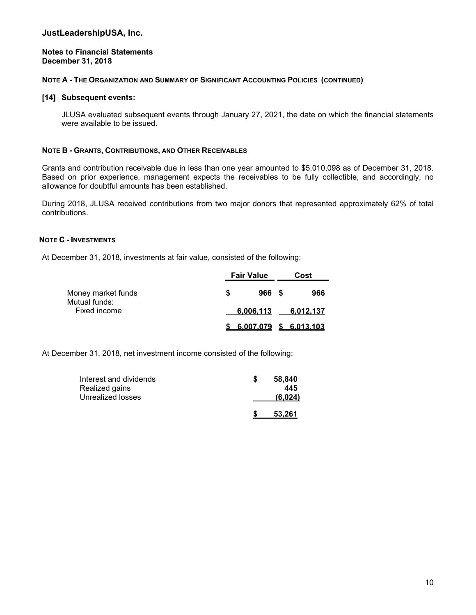#### **Notes to Financial Statements December 31, 2018**

#### **NOTE A - THE ORGANIZATION AND SUMMARY OF SIGNIFICANT ACCOUNTING POLICIES (CONTINUED)**

#### **[14] Subsequent events:**

JLUSA evaluated subsequent events through January 27, 2021, the date on which the financial statements were available to be issued.

#### **NOTE B - GRANTS, CONTRIBUTIONS, AND OTHER RECEIVABLES**

Grants and contribution receivable due in less than one year amounted to \$5,010,098 as of December 31, 2018. Based on prior experience, management expects the receivables to be fully collectible, and accordingly, no allowance for doubtful amounts has been established.

During 2018, JLUSA received contributions from two major donors that represented approximately 62% of total contributions.

#### **NOTE C - INVESTMENTS**

At December 31, 2018, investments at fair value, consisted of the following:

|                               | <b>Fair Value</b> |       | Cost |                                  |  |
|-------------------------------|-------------------|-------|------|----------------------------------|--|
| Money market funds            | S                 | 966 S |      | 966                              |  |
| Mutual funds:<br>Fixed income |                   |       |      | 6,006,113 6,012,137              |  |
|                               |                   |       |      | <u>\$ 6.007.079 \$ 6.013.103</u> |  |

At December 31, 2018, net investment income consisted of the following:

| Interest and dividends<br>Realized gains | 58,840<br>445 |
|------------------------------------------|---------------|
| Unrealized losses                        | (6,024)       |
|                                          | 53.261        |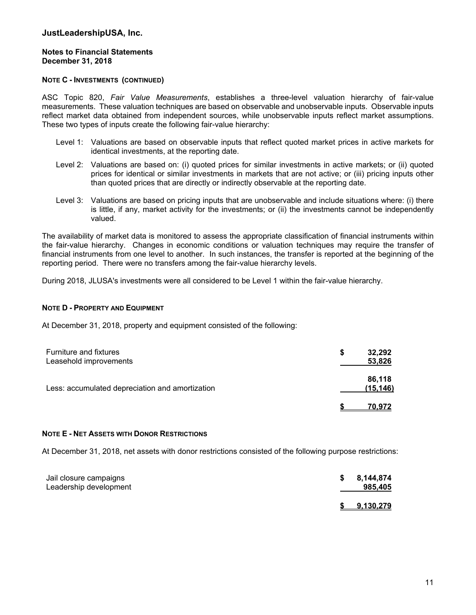#### **Notes to Financial Statements December 31, 2018**

#### **NOTE C - INVESTMENTS (CONTINUED)**

ASC Topic 820, *Fair Value Measurements*, establishes a three-level valuation hierarchy of fair-value measurements. These valuation techniques are based on observable and unobservable inputs. Observable inputs reflect market data obtained from independent sources, while unobservable inputs reflect market assumptions. These two types of inputs create the following fair-value hierarchy:

- Level 1: Valuations are based on observable inputs that reflect quoted market prices in active markets for identical investments, at the reporting date.
- Level 2: Valuations are based on: (i) quoted prices for similar investments in active markets; or (ii) quoted prices for identical or similar investments in markets that are not active; or (iii) pricing inputs other than quoted prices that are directly or indirectly observable at the reporting date.
- Level 3: Valuations are based on pricing inputs that are unobservable and include situations where: (i) there is little, if any, market activity for the investments; or (ii) the investments cannot be independently valued.

The availability of market data is monitored to assess the appropriate classification of financial instruments within the fair-value hierarchy. Changes in economic conditions or valuation techniques may require the transfer of financial instruments from one level to another. In such instances, the transfer is reported at the beginning of the reporting period. There were no transfers among the fair-value hierarchy levels.

During 2018, JLUSA's investments were all considered to be Level 1 within the fair-value hierarchy.

#### **NOTE D - PROPERTY AND EQUIPMENT**

At December 31, 2018, property and equipment consisted of the following:

| <b>Furniture and fixtures</b><br>Leasehold improvements | 32,292<br>S<br>53,826 |
|---------------------------------------------------------|-----------------------|
| Less: accumulated depreciation and amortization         | 86,118<br>(15,146)    |
|                                                         | 70.972                |

#### **NOTE E - NET ASSETS WITH DONOR RESTRICTIONS**

At December 31, 2018, net assets with donor restrictions consisted of the following purpose restrictions:

| Jail closure campaigns<br>Leadership development | S. | 8,144,874<br>985,405 |
|--------------------------------------------------|----|----------------------|
|                                                  |    | <u>9.130.279</u>     |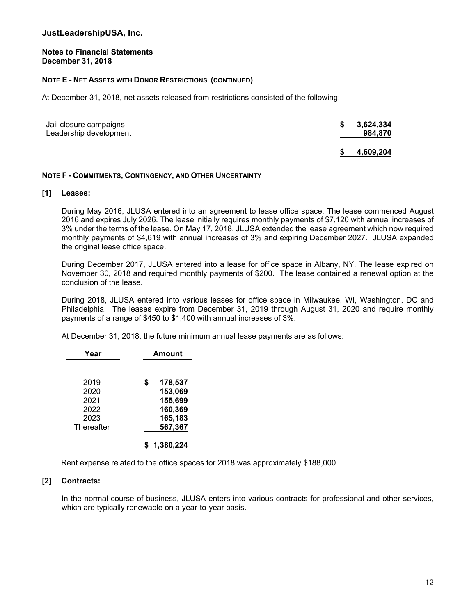#### **Notes to Financial Statements December 31, 2018**

#### **NOTE E - NET ASSETS WITH DONOR RESTRICTIONS (CONTINUED)**

At December 31, 2018, net assets released from restrictions consisted of the following:

| Jail closure campaigns<br>Leadership development | S | 3,624,334<br>984,870 |
|--------------------------------------------------|---|----------------------|
|                                                  |   | <u>4,609,204</u>     |

#### **NOTE F - COMMITMENTS, CONTINGENCY, AND OTHER UNCERTAINTY**

#### **[1] Leases:**

During May 2016, JLUSA entered into an agreement to lease office space. The lease commenced August 2016 and expires July 2026. The lease initially requires monthly payments of \$7,120 with annual increases of 3% under the terms of the lease. On May 17, 2018, JLUSA extended the lease agreement which now required monthly payments of \$4,619 with annual increases of 3% and expiring December 2027. JLUSA expanded the original lease office space.

During December 2017, JLUSA entered into a lease for office space in Albany, NY. The lease expired on November 30, 2018 and required monthly payments of \$200. The lease contained a renewal option at the conclusion of the lease.

During 2018, JLUSA entered into various leases for office space in Milwaukee, WI, Washington, DC and Philadelphia. The leases expire from December 31, 2019 through August 31, 2020 and require monthly payments of a range of \$450 to \$1,400 with annual increases of 3%.

At December 31, 2018, the future minimum annual lease payments are as follows:

| Year                         | <b>Amount</b>                                 |
|------------------------------|-----------------------------------------------|
| 2019<br>2020<br>2021<br>2022 | 178,537<br>S<br>153,069<br>155,699<br>160,369 |
| 2023<br>Thereafter           | 165,183<br>567,367                            |

Rent expense related to the office spaces for 2018 was approximately \$188,000.

#### **[2] Contracts:**

In the normal course of business, JLUSA enters into various contracts for professional and other services, which are typically renewable on a year-to-year basis.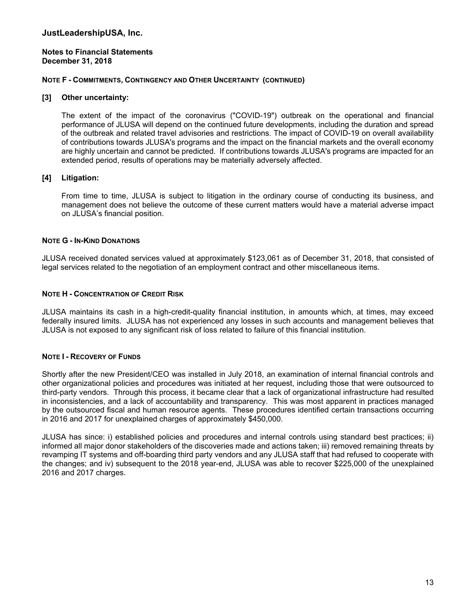**Notes to Financial Statements December 31, 2018** 

#### **NOTE F - COMMITMENTS, CONTINGENCY AND OTHER UNCERTAINTY (CONTINUED)**

#### **[3] Other uncertainty:**

The extent of the impact of the coronavirus ("COVID-19") outbreak on the operational and financial performance of JLUSA will depend on the continued future developments, including the duration and spread of the outbreak and related travel advisories and restrictions. The impact of COVID-19 on overall availability of contributions towards JLUSA's programs and the impact on the financial markets and the overall economy are highly uncertain and cannot be predicted. If contributions towards JLUSA's programs are impacted for an extended period, results of operations may be materially adversely affected.

#### **[4] Litigation:**

From time to time, JLUSA is subject to litigation in the ordinary course of conducting its business, and management does not believe the outcome of these current matters would have a material adverse impact on JLUSA's financial position.

#### **NOTE G - IN-KIND DONATIONS**

JLUSA received donated services valued at approximately \$123,061 as of December 31, 2018, that consisted of legal services related to the negotiation of an employment contract and other miscellaneous items.

#### **NOTE H - CONCENTRATION OF CREDIT RISK**

JLUSA maintains its cash in a high-credit-quality financial institution, in amounts which, at times, may exceed federally insured limits. JLUSA has not experienced any losses in such accounts and management believes that JLUSA is not exposed to any significant risk of loss related to failure of this financial institution.

#### **NOTE I - RECOVERY OF FUNDS**

Shortly after the new President/CEO was installed in July 2018, an examination of internal financial controls and other organizational policies and procedures was initiated at her request, including those that were outsourced to third-party vendors. Through this process, it became clear that a lack of organizational infrastructure had resulted in inconsistencies, and a lack of accountability and transparency. This was most apparent in practices managed by the outsourced fiscal and human resource agents. These procedures identified certain transactions occurring in 2016 and 2017 for unexplained charges of approximately \$450,000.

JLUSA has since: i) established policies and procedures and internal controls using standard best practices; ii) informed all major donor stakeholders of the discoveries made and actions taken; iii) removed remaining threats by revamping IT systems and off-boarding third party vendors and any JLUSA staff that had refused to cooperate with the changes; and iv) subsequent to the 2018 year-end, JLUSA was able to recover \$225,000 of the unexplained 2016 and 2017 charges.